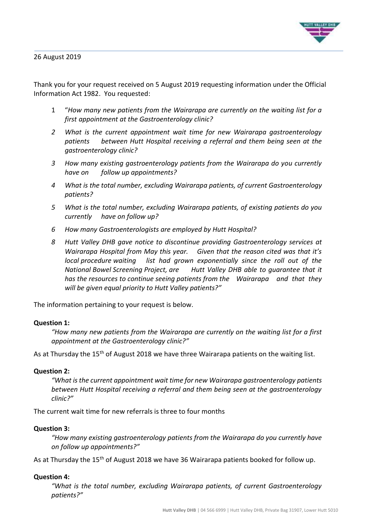

#### 26 August 2019

Thank you for your request received on 5 August 2019 requesting information under the Official Information Act 1982. You requested:

- 1 "*How many new patients from the Wairarapa are currently on the waiting list for a first appointment at the Gastroenterology clinic?*
- *2 What is the current appointment wait time for new Wairarapa gastroenterology patients between Hutt Hospital receiving a referral and them being seen at the gastroenterology clinic?*
- *3 How many existing gastroenterology patients from the Wairarapa do you currently have on follow up appointments?*
- *4 What is the total number, excluding Wairarapa patients, of current Gastroenterology patients?*
- *5 What is the total number, excluding Wairarapa patients, of existing patients do you currently have on follow up?*
- *6 How many Gastroenterologists are employed by Hutt Hospital?*
- *8 Hutt Valley DHB gave notice to discontinue providing Gastroenterology services at Wairarapa Hospital from May this year. Given that the reason cited was that it's local procedure waiting list had grown exponentially since the roll out of the National Bowel Screening Project, are Hutt Valley DHB able to guarantee that it has the resources to continue seeing patients from the Wairarapa and that they will be given equal priority to Hutt Valley patients?"*

The information pertaining to your request is below.

### **Question 1:**

*"How many new patients from the Wairarapa are currently on the waiting list for a first appointment at the Gastroenterology clinic?"*

As at Thursday the 15<sup>th</sup> of August 2018 we have three Wairarapa patients on the waiting list.

### **Question 2:**

*"What is the current appointment wait time for new Wairarapa gastroenterology patients between Hutt Hospital receiving a referral and them being seen at the gastroenterology clinic?"*

The current wait time for new referrals is three to four months

#### **Question 3:**

*"How many existing gastroenterology patients from the Wairarapa do you currently have on follow up appointments?"*

As at Thursday the 15<sup>th</sup> of August 2018 we have 36 Wairarapa patients booked for follow up.

### **Question 4:**

*"What is the total number, excluding Wairarapa patients, of current Gastroenterology patients?"*